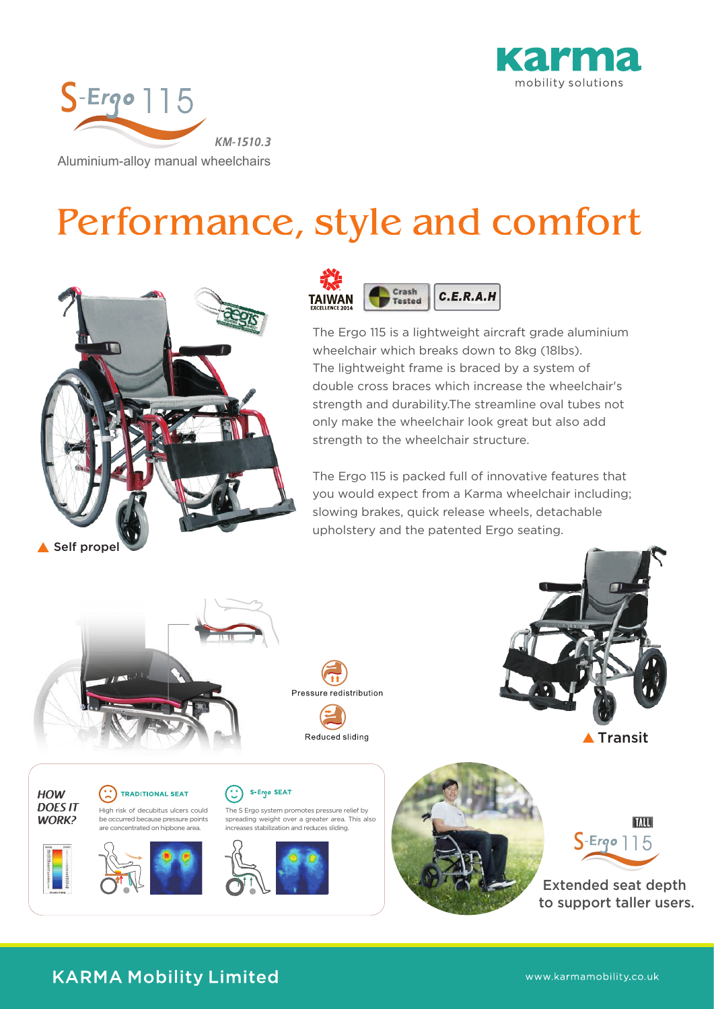



# Performance, style and comfort





The Ergo 115 is a lightweight aircraft grade aluminium wheelchair which breaks down to 8kg (18lbs). The lightweight frame is braced by a system of double cross braces which increase the wheelchair's strength and durability.The streamline oval tubes not only make the wheelchair look great but also add strength to the wheelchair structure.

The Ergo 115 is packed full of innovative features that you would expect from a Karma wheelchair including; slowing brakes, quick release wheels, detachable upholstery and the patented Ergo seating.



### **KARMA Mobility Limited**